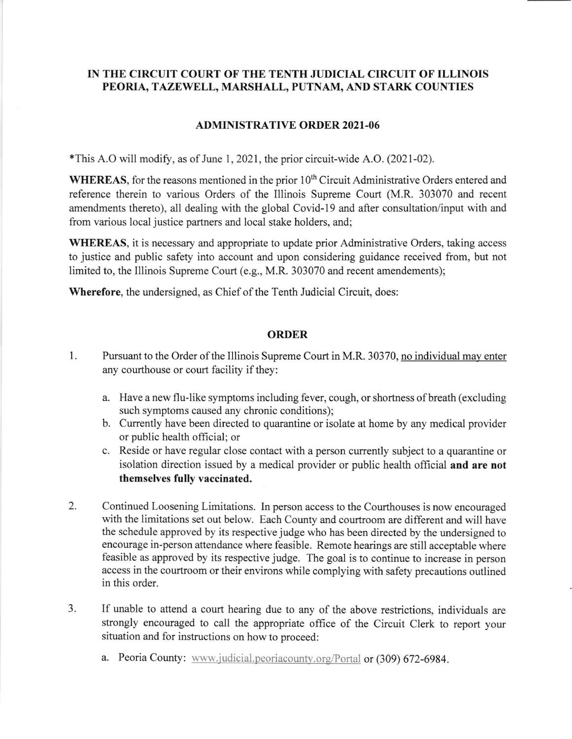## IN THE CIRCUIT COURT OF THE TENTH JUDICIAL CIRCUIT OF ILLINOIS PEORIA, TAZEWELL, MARSHALL, PUTNAM, AND STARK COUNTIES

## ADMINISTRATIVE ORDER 2021-06

 $*$ This A.O will modify, as of June 1, 2021, the prior circuit-wide A.O. (2021-02).

WHEREAS, for the reasons mentioned in the prior  $10<sup>th</sup>$  Circuit Administrative Orders entered and reference therein to various Orders of the Illinois Supreme Court (M.R. 303070 and recent amendments thereto), all dealing with the global Covid-l9 and after consultation/input with and from various local justice partners and local stake holders, and;

WHEREAS, it is necessary and appropriate to update prior Administrative Orders, taking access to justice and public safety into account and upon considering guidance received from, but not limited to, the Illinois Supreme Court (e.g., M.R. 303070 and recent amendements);

Wherefore, the undersigned, as Chief of the Tenth Judicial Circuit, does:

## ORDER

- Pursuant to the Order of the Illinois Supreme Court in M.R. 30370, no individual may enter any courthouse or court facility if they: 1.
	- a. Have a new flu-like symptoms including fever, cough, ot shortness of breath (excluding such symptoms caused any chronic conditions);
	- b. Currently have been directed to quarantine or isolate at home by any medical provider or public health official; or
	- c. Reside or have regular close contact with a person currently subject to a quarantine or isolation direction issued by a medical provider or public health official and are not themselves fully vaccinated.
- Continued Loosening Limitations. In person access to the Courthouses is now encouraged with the limitations set out below. Each County and courtroom are different and will have the schedule approved by its respective judge who has been directed by the undersigned to encourage in-person attendance where feasible. Remote hearings are still acceptable where feasible as approved by its respective judge. The goal is to continue to increase in person access in the courtroom or their environs while complying with safety precautions outlined in this order. 2.
- If unable to attend a court hearing due to any of the above restrictions, individuals are strongly encouraged to call the appropriate office of the Circuit Clerk to report your situation and for instructions on how to proceed: 3.
	- a. Peoria County: www.judicial.peoriacounty.org/Portal or (309) 672-6984.